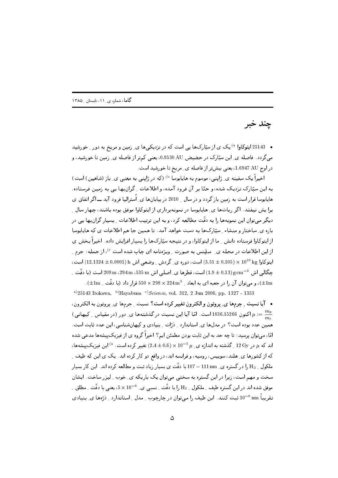چند خبر

• 25143 ایتوکاوا <sup>۵</sup> یک ی از سپّارکها یی است که در نزدیکیها ی ِ زمین و مریخ به دور <sub>-</sub> خورشید می گردد . فاصله ی ِ این سیّارک در حضیض AU 0.9530 AU، یعنی کمتر از فاصله ی ِ زمین تا خورشید، و در اوج 1.6947 AU، يعني بيشتر از فاصله ي ِ مريخ تا خورشيد است.

اخیراً یک سفینه ی ِ ژاپنی، موسوم به هایابوسا <sup>()</sup> (که در ژاپنی به معنی ی ِ باز (شاهین) است) به این سپّارک نیزدیک شده، و حتّا بر آن فرود آمده، و اطلاعات ِ گران بها یبی به زمین فرستاده. هایاپوسا قرار است به زمین باز گردد و در سال \_ 2010 در بیابانها ی ِ اُسترالیا فرود آید ـــ اگر اتفاق ی برا پش نیفتد. اگر رباتها ی ِ هاپایوسا در نمونهبرداری از ایتوکاوا موفق بوده باشند، چهار سال ِ دیگر می توان این نمونهها را به دقّت مطالعه کرد، و به این ترتیب اطلاعات ِ بسیار گران بها یی در باره ی ِ ساختار و منشاء ِ سیّارکها به دست خواهد آمد. تا همین جا هم اطلاعات ی که هایابوسا از ایتوکاوا فرستاده دانش ِ ما از ایتوکاوا، و در نتیجه سپّارکها را بسیار افزایش داده. اخیراً بخش ی از این اطلاعات در مجله ی ِ ساینس به صورت ِ ویژهنامه ای چاپ شده است <sup>6</sup>، از جمله: جرم ِ ايتوكاوا kg × 10<sup>10</sup> x (3.10± 0.105) است، دوره ي ِ گردش ِ وضعى اش h (0.0001 ± 12.1324) است، حِكَالي اش  $\rm{g~cm^{-3}}$   $\rm{g~cm^{-3}}$  است، قطرها ي ِ اصلي اش  $\rm{m~d}$  535  $\rm{m}$   $\rm{m}$   $\rm{294~m}$  است (با دقّت ِ )، و می توان آن را در جعبه ای به ابعاد  $224\,\mathrm{m}^3$  × 224  $\times$  550 قرار داد (با دقّت ِ  $\pm 1\mathrm{m}$ ).

a) 25143 Itokawa, b) Hayabusa c) Science, vol. 312, 2 Jun 2006, pp. 1327 - 1353 • آیا نسبت ِ جرمها ی ِ یروتون و الکترون تغییر کرده است؟ نسبت ِ جرمها ی ِ پروتون به الکترون، اکنون 1836.15266 است. امّا آیا این نسبت در گذشتهها ی ِ دور (در مقیاس ِ کیهانی) ( $\mu:=\frac{m_p}{m}$ همین عدد بوده است؟ در مدلها ی ِ استاندارد ِ ذرّات ِ بنیادی و کیهانشناسی، این عدد ثابت است. امّا، می;توان پرسید: تا چه حد به این ثابت بودن مطمئن ایم؟ اخیراً گروه ی از فیزیکپیشهها مدعی شده اند که  $\mu$  در  $12\,\mathrm{Gy}$  گذشته به اندازه ی ِ  $\mu^{-5}\,\mu$  ×  $10^{-5}\,\mu$  تغییر کرده است. <sup>4)</sup> این فیزیک پیشهها، که از کشورها ی ِ هلند، سوییس، روسیه، و فرانسه اند، در واقع دو کار کرده اند. یک ی این که طیف ِ ملکول \_ H2 را در گستره ي\_ 111 nm سـ 107 با دقّت ي بسيار زياد ثبت و مطالعه کرده اند. اين کار بسيار سخت و مهم است، زیرا در این گستره به سختی می توان یک باریکه ی ِ خوب ِ لیزر ساخت. ایشان موفق شده اند در این گستره طیف ِ ملکول ِ  $\rm{H}_{2}$  را با دقّت ِ نسبی ی ِ  $\rm{^{8}$   $\sim 10^{-8}}$ ، یعنی با دقّت ِ مطلق ِ تقریباً nm 10<sup>-6</sup> ثبت کنند. این طیف را میتوان در چارچوب <sub>-</sub> مدل <sub>-</sub> استاندارد <sub>-</sub> ذرّهها ی ِ بنیادی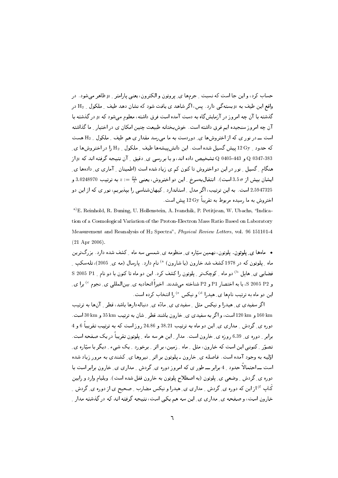حساب کرد، و این جا است که نسبت <sub>-</sub> جرمها ی ِ پروتون و الکترون، یعنی پارامتر <sub>-</sub> µ ظاهر می شود. در واقع این طیف به  $\mu$  بستهگی دارد. پس، اگر شاهد ی یافت شود که نشان دهد طیف ِ ملکول ِ  $\mathrm{H}_2$  در گذشته با آن چه امروز در آزمایشگاه به دست آمده است فرق داشته، معلوم میشود که µ در گذشته با آن چه امروز سنجیده ایم فرق داشته است. خوشبختانه طبیعت چنین امکان ی در اختیار ِ ما گذاشته است ــ در نور ی که از اختروشها ی ِ دوردست به ما مه رسد مقدار ی هم طیف ِ ملکول ِ H2 هست که حدود 12 Gy پیش گسیل شده است. این دانش پیشهها طیف Mعلیکول M3 را در اختروشها ی و 443-443 به نشخیص داده اند، و با بر رسی ی ِ دقیق ِ آن نتیجه گرفته اند که  $\mu$  از  $Q$  0347-383 به از  $Q$  0347-383 هنگام کسیل مورد در این دو اختروش تاکنون کم ی زیاد شده است (اطمینان م آماری ی دادهها ی ايشان بيش از  $\sigma$ 3.5 است) . انتقال به سرخ 1 ين دو اختروش، يعني  $\frac{\delta \lambda}{\lambda} = z := z + z$  به ترتيب 3.0248970 و 2.5947325 است. به این ترتیب، اگر مدل ِ استاندارد ِ کیهانشناسی را بیذیریم، نور ی که از این دو اختروش به ما رسیده مربوط به تقریباً  $12\,\mathrm{Gy}$  پیش است.

a) E. Reinhold, R. Buning, U. Hollenstein, A. Ivanchik, P. Petitjean, W. Ubachs, "Indication of a Cosmological Variation of the Proton-Electron Mass Ratio Based on Laboratory Measurement and Reanalysis of H<sub>2</sub> Spectra", *Physical Review Letters*, vol. 96 151101-4  $(21$  Apr  $2006)$ .

• مامها ی ِ پلوتون. پلوتون، نهمین سیّاره ی ِ منظومه ی ِ شمسی سه ماه ِ کشف شده دارد. بزرگترین ماه ِ پلوتون که در 1978کشف شد خارون (یا شارون) <sup>ه)</sup> نام دارد. پارسال (مه ی ِ 2005)، تلهسکپ ِ فضایی ی ِ هابل <sup>b)</sup> دو ماه <sub>م</sub> کوچکتر <sub>م</sub> پلوتون را کشف کرد. این دو ماه تا کنون با دو نام <sub>م</sub> P1 S 2005 P1 و S 2005 P2، يا به اختصار P1 و P2 شناخته مى شدند. اخيراً اتحاديه ي ِ بينالمللي ي ِ نجوم °) برا ي ِ این دو ماه به ترتیب نامها ی ِ هیدرا <sup>d)</sup> و نیکس <sup>e)</sup> را انتخاب کرده است.

اگر سفیدی ی ِ هیدرا و نیکس مثل ِ سفیدی ی ِ مادّه ی ِ دنبالهدارها باشد، قطر ِ آنها به ترتیب 160 km و 120 km است، و اگر به سفیدی ی ِ خارون باشند قطر ِ شان به ترتیب 35 km و 30 km است. دوره ی ِ گردش ِ مداری ی ِ این دو ماه به ترتیب 38.21 و 24.86 روز است که به ترتیب تقریباً 6 و 4 برابر ِ دوره ی ِ 6.39 روزه ی ِ خارون است. مدار ِ این هر سه ماه ِ پلوتون تقریباً در یک صفحه است. تصوّر ِ کنونی این است که خارون، مثل ِ ماه ِ زمین، بر اثر ِ برخورد ِ یک شیء ِ دیگر با سیّاره یِ ِ اوّلیه به وجود آمده است. فاصله ی ِ خارون ـ پلوتون بر اثر ِ نیروها ی ِ کشندی به مرور زیاد شده است ـــ احتمالاً حدود \_ 4 برابر ـــ طور ي كه امروز دوره ي ِ گردش \_ مداري ي ِ خارون برابر است با دوره ی ِ گردش ِ وضعی ی ِ پلوتون (به اصطلاح پلوتون به خارون قفل شده است). ویلیام وارد و رابین کَناپ <sup>۴)</sup> از این که دوره ی ِ گردش ِ ِ مداری ی ِ هیدرا و نیکس مضارب ِ ِ صحیح ی از دوره ی ِ گردش ِ ِ خارون است، و صفحه ي ِ مداري ي ِ اين سه هم يكي است، نتيجه گرفته اند كه در گذشته مدار ِ